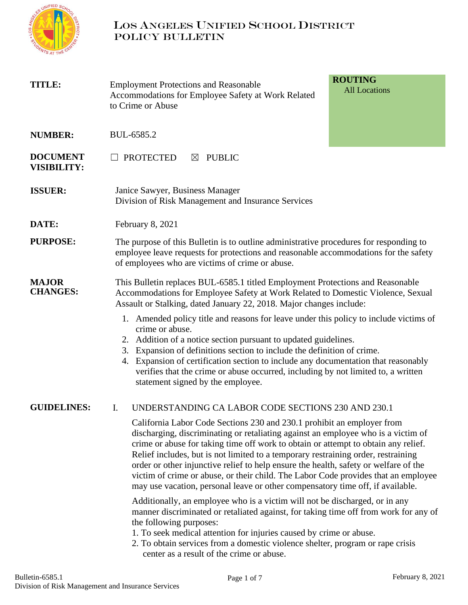

# LOS ANGELES UNIFIED SCHOOL DISTRICT POLICY BULLETIN

| <b>TITLE:</b>                         | <b>ROUTING</b><br><b>Employment Protections and Reasonable</b><br><b>All Locations</b><br>Accommodations for Employee Safety at Work Related<br>to Crime or Abuse                                                                                                                                                                                                                                                                                                                                                                                                                                      |  |  |  |
|---------------------------------------|--------------------------------------------------------------------------------------------------------------------------------------------------------------------------------------------------------------------------------------------------------------------------------------------------------------------------------------------------------------------------------------------------------------------------------------------------------------------------------------------------------------------------------------------------------------------------------------------------------|--|--|--|
| <b>NUMBER:</b>                        | BUL-6585.2                                                                                                                                                                                                                                                                                                                                                                                                                                                                                                                                                                                             |  |  |  |
| <b>DOCUMENT</b><br><b>VISIBILITY:</b> | <b>PROTECTED</b><br><b>PUBLIC</b><br>$\boxtimes$                                                                                                                                                                                                                                                                                                                                                                                                                                                                                                                                                       |  |  |  |
| <b>ISSUER:</b>                        | Janice Sawyer, Business Manager<br>Division of Risk Management and Insurance Services                                                                                                                                                                                                                                                                                                                                                                                                                                                                                                                  |  |  |  |
| DATE:                                 | February 8, 2021                                                                                                                                                                                                                                                                                                                                                                                                                                                                                                                                                                                       |  |  |  |
| <b>PURPOSE:</b>                       | The purpose of this Bulletin is to outline administrative procedures for responding to<br>employee leave requests for protections and reasonable accommodations for the safety<br>of employees who are victims of crime or abuse.                                                                                                                                                                                                                                                                                                                                                                      |  |  |  |
| <b>MAJOR</b><br><b>CHANGES:</b>       | This Bulletin replaces BUL-6585.1 titled Employment Protections and Reasonable<br>Accommodations for Employee Safety at Work Related to Domestic Violence, Sexual<br>Assault or Stalking, dated January 22, 2018. Major changes include:                                                                                                                                                                                                                                                                                                                                                               |  |  |  |
|                                       | 1. Amended policy title and reasons for leave under this policy to include victims of<br>crime or abuse.<br>2. Addition of a notice section pursuant to updated guidelines.<br>3. Expansion of definitions section to include the definition of crime.<br>4. Expansion of certification section to include any documentation that reasonably<br>verifies that the crime or abuse occurred, including by not limited to, a written<br>statement signed by the employee.                                                                                                                                 |  |  |  |
| <b>GUIDELINES:</b>                    | I.<br>UNDERSTANDING CA LABOR CODE SECTIONS 230 AND 230.1                                                                                                                                                                                                                                                                                                                                                                                                                                                                                                                                               |  |  |  |
|                                       | California Labor Code Sections 230 and 230.1 prohibit an employer from<br>discharging, discriminating or retaliating against an employee who is a victim of<br>crime or abuse for taking time off work to obtain or attempt to obtain any relief.<br>Relief includes, but is not limited to a temporary restraining order, restraining<br>order or other injunctive relief to help ensure the health, safety or welfare of the<br>victim of crime or abuse, or their child. The Labor Code provides that an employee<br>may use vacation, personal leave or other compensatory time off, if available. |  |  |  |
|                                       | Additionally, an employee who is a victim will not be discharged, or in any<br>manner discriminated or retaliated against, for taking time off from work for any of<br>the following purposes:<br>1. To seek medical attention for injuries caused by crime or abuse.<br>2. To obtain services from a domestic violence shelter, program or rape crisis<br>center as a result of the crime or abuse.                                                                                                                                                                                                   |  |  |  |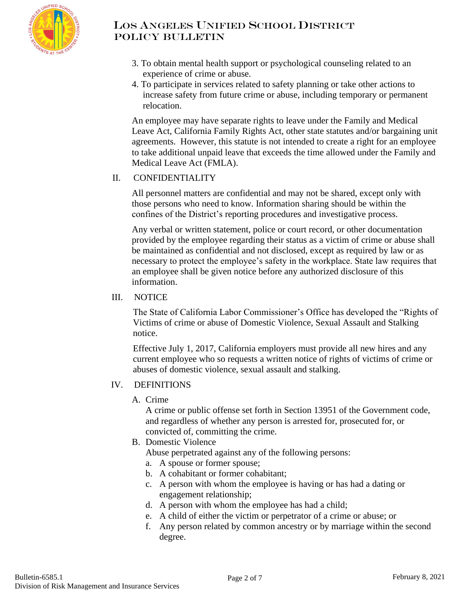

- 3. To obtain mental health support or psychological counseling related to an experience of crime or abuse.
- 4. To participate in services related to safety planning or take other actions to increase safety from future crime or abuse, including temporary or permanent relocation.

An employee may have separate rights to leave under the Family and Medical Leave Act, California Family Rights Act, other state statutes and/or bargaining unit agreements. However, this statute is not intended to create a right for an employee to take additional unpaid leave that exceeds the time allowed under the Family and Medical Leave Act (FMLA).

### II. CONFIDENTIALITY

All personnel matters are confidential and may not be shared, except only with those persons who need to know. Information sharing should be within the confines of the District's reporting procedures and investigative process.

Any verbal or written statement, police or court record, or other documentation provided by the employee regarding their status as a victim of crime or abuse shall be maintained as confidential and not disclosed, except as required by law or as necessary to protect the employee's safety in the workplace. State law requires that an employee shall be given notice before any authorized disclosure of this information.

#### III. NOTICE

The State of California Labor Commissioner's Office has developed the "Rights of Victims of crime or abuse of Domestic Violence, Sexual Assault and Stalking notice.

Effective July 1, 2017, California employers must provide all new hires and any current employee who so requests a written notice of rights of victims of crime or abuses of domestic violence, sexual assault and stalking.

#### IV. DEFINITIONS

A. Crime

A crime or public offense set forth in Section 13951 of the Government code, and regardless of whether any person is arrested for, prosecuted for, or convicted of, committing the crime.

- B. Domestic Violence
	- Abuse perpetrated against any of the following persons:
	- a. A spouse or former spouse;
	- b. A cohabitant or former cohabitant;
	- c. A person with whom the employee is having or has had a dating or engagement relationship;
	- d. A person with whom the employee has had a child;
	- e. A child of either the victim or perpetrator of a crime or abuse; or
	- f. Any person related by common ancestry or by marriage within the second degree.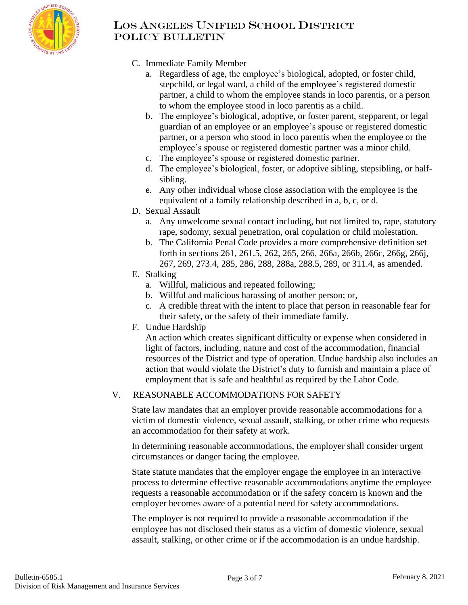

- C. Immediate Family Member
	- a. Regardless of age, the employee's biological, adopted, or foster child, stepchild, or legal ward, a child of the employee's registered domestic partner, a child to whom the employee stands in loco parentis, or a person to whom the employee stood in loco parentis as a child.
	- b. The employee's biological, adoptive, or foster parent, stepparent, or legal guardian of an employee or an employee's spouse or registered domestic partner, or a person who stood in loco parentis when the employee or the employee's spouse or registered domestic partner was a minor child.
	- c. The employee's spouse or registered domestic partner.
	- d. The employee's biological, foster, or adoptive sibling, stepsibling, or halfsibling.
	- e. Any other individual whose close association with the employee is the equivalent of a family relationship described in a, b, c, or d.
- D. Sexual Assault
	- a. Any unwelcome sexual contact including, but not limited to, rape, statutory rape, sodomy, sexual penetration, oral copulation or child molestation.
	- b. The California Penal Code provides a more comprehensive definition set forth in sections 261, 261.5, 262, 265, 266, 266a, 266b, 266c, 266g, 266j, 267, 269, 273.4, 285, 286, 288, 288a, 288.5, 289, or 311.4, as amended.
- E. Stalking
	- a. Willful, malicious and repeated following;
	- b. Willful and malicious harassing of another person; or,
	- c. A credible threat with the intent to place that person in reasonable fear for their safety, or the safety of their immediate family.
- F. Undue Hardship

An action which creates significant difficulty or expense when considered in light of factors, including, nature and cost of the accommodation, financial resources of the District and type of operation. Undue hardship also includes an action that would violate the District's duty to furnish and maintain a place of employment that is safe and healthful as required by the Labor Code.

# V. REASONABLE ACCOMMODATIONS FOR SAFETY

State law mandates that an employer provide reasonable accommodations for a victim of domestic violence, sexual assault, stalking, or other crime who requests an accommodation for their safety at work.

In determining reasonable accommodations, the employer shall consider urgent circumstances or danger facing the employee.

State statute mandates that the employer engage the employee in an interactive process to determine effective reasonable accommodations anytime the employee requests a reasonable accommodation or if the safety concern is known and the employer becomes aware of a potential need for safety accommodations.

The employer is not required to provide a reasonable accommodation if the employee has not disclosed their status as a victim of domestic violence, sexual assault, stalking, or other crime or if the accommodation is an undue hardship.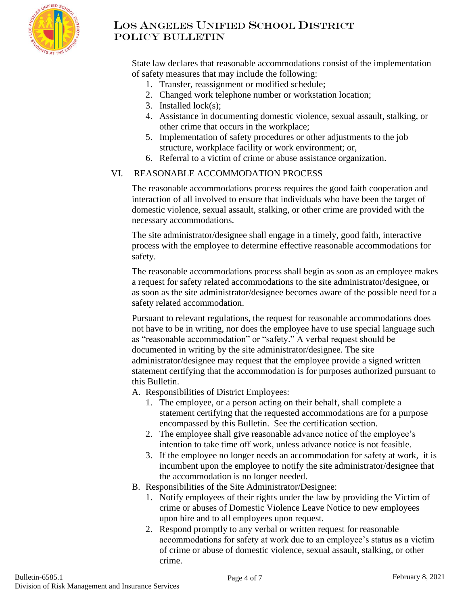

State law declares that reasonable accommodations consist of the implementation of safety measures that may include the following:

- 1. Transfer, reassignment or modified schedule;
- 2. Changed work telephone number or workstation location;
- 3. Installed lock(s);
- 4. Assistance in documenting domestic violence, sexual assault, stalking, or other crime that occurs in the workplace;
- 5. Implementation of safety procedures or other adjustments to the job structure, workplace facility or work environment; or,
- 6. Referral to a victim of crime or abuse assistance organization.

#### VI. REASONABLE ACCOMMODATION PROCESS

The reasonable accommodations process requires the good faith cooperation and interaction of all involved to ensure that individuals who have been the target of domestic violence, sexual assault, stalking, or other crime are provided with the necessary accommodations.

The site administrator/designee shall engage in a timely, good faith, interactive process with the employee to determine effective reasonable accommodations for safety.

The reasonable accommodations process shall begin as soon as an employee makes a request for safety related accommodations to the site administrator/designee, or as soon as the site administrator/designee becomes aware of the possible need for a safety related accommodation.

Pursuant to relevant regulations, the request for reasonable accommodations does not have to be in writing, nor does the employee have to use special language such as "reasonable accommodation" or "safety." A verbal request should be documented in writing by the site administrator/designee. The site administrator/designee may request that the employee provide a signed written statement certifying that the accommodation is for purposes authorized pursuant to this Bulletin.

- A. Responsibilities of District Employees:
	- 1. The employee, or a person acting on their behalf, shall complete a statement certifying that the requested accommodations are for a purpose encompassed by this Bulletin. See the certification section.
	- 2. The employee shall give reasonable advance notice of the employee's intention to take time off work, unless advance notice is not feasible.
	- 3. If the employee no longer needs an accommodation for safety at work, it is incumbent upon the employee to notify the site administrator/designee that the accommodation is no longer needed.
- B. Responsibilities of the Site Administrator/Designee:
	- 1. Notify employees of their rights under the law by providing the Victim of crime or abuses of Domestic Violence Leave Notice to new employees upon hire and to all employees upon request.
	- 2. Respond promptly to any verbal or written request for reasonable accommodations for safety at work due to an employee's status as a victim of crime or abuse of domestic violence, sexual assault, stalking, or other crime.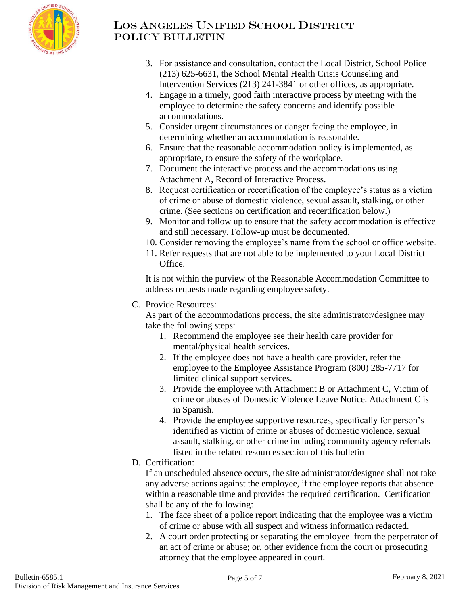

- 3. For assistance and consultation, contact the Local District, School Police (213) 625-6631, the School Mental Health Crisis Counseling and Intervention Services (213) 241-3841 or other offices, as appropriate.
- 4. Engage in a timely, good faith interactive process by meeting with the employee to determine the safety concerns and identify possible accommodations.
- 5. Consider urgent circumstances or danger facing the employee, in determining whether an accommodation is reasonable.
- 6. Ensure that the reasonable accommodation policy is implemented, as appropriate, to ensure the safety of the workplace.
- 7. Document the interactive process and the accommodations using Attachment A, Record of Interactive Process.
- 8. Request certification or recertification of the employee's status as a victim of crime or abuse of domestic violence, sexual assault, stalking, or other crime. (See sections on certification and recertification below.)
- 9. Monitor and follow up to ensure that the safety accommodation is effective and still necessary. Follow-up must be documented.
- 10. Consider removing the employee's name from the school or office website.
- 11. Refer requests that are not able to be implemented to your Local District Office.

It is not within the purview of the Reasonable Accommodation Committee to address requests made regarding employee safety.

C. Provide Resources:

As part of the accommodations process, the site administrator/designee may take the following steps:

- 1. Recommend the employee see their health care provider for mental/physical health services.
- 2. If the employee does not have a health care provider, refer the employee to the Employee Assistance Program (800) 285-7717 for limited clinical support services.
- 3. Provide the employee with Attachment B or Attachment C, Victim of crime or abuses of Domestic Violence Leave Notice. Attachment C is in Spanish.
- 4. Provide the employee supportive resources, specifically for person's identified as victim of crime or abuses of domestic violence, sexual assault, stalking, or other crime including community agency referrals listed in the related resources section of this bulletin
- D. Certification:

If an unscheduled absence occurs, the site administrator/designee shall not take any adverse actions against the employee, if the employee reports that absence within a reasonable time and provides the required certification. Certification shall be any of the following:

- 1. The face sheet of a police report indicating that the employee was a victim of crime or abuse with all suspect and witness information redacted.
- 2. A court order protecting or separating the employee from the perpetrator of an act of crime or abuse; or, other evidence from the court or prosecuting attorney that the employee appeared in court.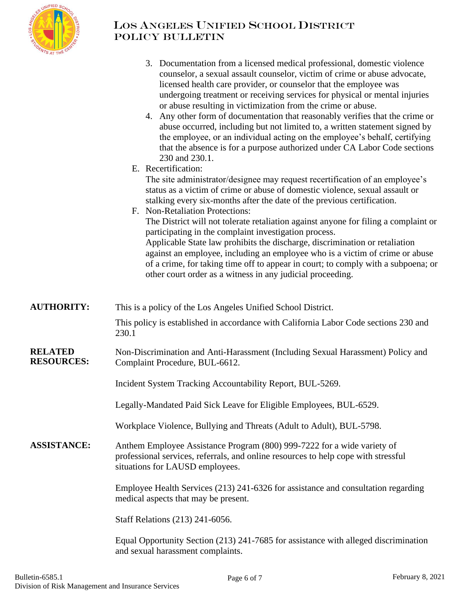

# LOS ANGELES UNIFIED SCHOOL DISTRICT POLICY BULLETIN

|                                     | 3. Documentation from a licensed medical professional, domestic violence<br>counselor, a sexual assault counselor, victim of crime or abuse advocate,<br>licensed health care provider, or counselor that the employee was<br>undergoing treatment or receiving services for physical or mental injuries<br>or abuse resulting in victimization from the crime or abuse.<br>4. Any other form of documentation that reasonably verifies that the crime or<br>abuse occurred, including but not limited to, a written statement signed by<br>the employee, or an individual acting on the employee's behalf, certifying<br>that the absence is for a purpose authorized under CA Labor Code sections<br>230 and 230.1.<br>E. Recertification:<br>The site administrator/designee may request recertification of an employee's<br>status as a victim of crime or abuse of domestic violence, sexual assault or<br>stalking every six-months after the date of the previous certification.<br>F. Non-Retaliation Protections:<br>The District will not tolerate retaliation against anyone for filing a complaint or<br>participating in the complaint investigation process.<br>Applicable State law prohibits the discharge, discrimination or retaliation<br>against an employee, including an employee who is a victim of crime or abuse<br>of a crime, for taking time off to appear in court; to comply with a subpoena; or |  |  |  |
|-------------------------------------|--------------------------------------------------------------------------------------------------------------------------------------------------------------------------------------------------------------------------------------------------------------------------------------------------------------------------------------------------------------------------------------------------------------------------------------------------------------------------------------------------------------------------------------------------------------------------------------------------------------------------------------------------------------------------------------------------------------------------------------------------------------------------------------------------------------------------------------------------------------------------------------------------------------------------------------------------------------------------------------------------------------------------------------------------------------------------------------------------------------------------------------------------------------------------------------------------------------------------------------------------------------------------------------------------------------------------------------------------------------------------------------------------------------------------------|--|--|--|
|                                     | other court order as a witness in any judicial proceeding.                                                                                                                                                                                                                                                                                                                                                                                                                                                                                                                                                                                                                                                                                                                                                                                                                                                                                                                                                                                                                                                                                                                                                                                                                                                                                                                                                                     |  |  |  |
| <b>AUTHORITY:</b>                   | This is a policy of the Los Angeles Unified School District.<br>This policy is established in accordance with California Labor Code sections 230 and<br>230.1                                                                                                                                                                                                                                                                                                                                                                                                                                                                                                                                                                                                                                                                                                                                                                                                                                                                                                                                                                                                                                                                                                                                                                                                                                                                  |  |  |  |
| <b>RELATED</b><br><b>RESOURCES:</b> | Non-Discrimination and Anti-Harassment (Including Sexual Harassment) Policy and<br>Complaint Procedure, BUL-6612.                                                                                                                                                                                                                                                                                                                                                                                                                                                                                                                                                                                                                                                                                                                                                                                                                                                                                                                                                                                                                                                                                                                                                                                                                                                                                                              |  |  |  |
|                                     | Incident System Tracking Accountability Report, BUL-5269.                                                                                                                                                                                                                                                                                                                                                                                                                                                                                                                                                                                                                                                                                                                                                                                                                                                                                                                                                                                                                                                                                                                                                                                                                                                                                                                                                                      |  |  |  |
|                                     | Legally-Mandated Paid Sick Leave for Eligible Employees, BUL-6529.                                                                                                                                                                                                                                                                                                                                                                                                                                                                                                                                                                                                                                                                                                                                                                                                                                                                                                                                                                                                                                                                                                                                                                                                                                                                                                                                                             |  |  |  |
|                                     | Workplace Violence, Bullying and Threats (Adult to Adult), BUL-5798.                                                                                                                                                                                                                                                                                                                                                                                                                                                                                                                                                                                                                                                                                                                                                                                                                                                                                                                                                                                                                                                                                                                                                                                                                                                                                                                                                           |  |  |  |
| <b>ASSISTANCE:</b>                  | Anthem Employee Assistance Program (800) 999-7222 for a wide variety of<br>professional services, referrals, and online resources to help cope with stressful<br>situations for LAUSD employees.                                                                                                                                                                                                                                                                                                                                                                                                                                                                                                                                                                                                                                                                                                                                                                                                                                                                                                                                                                                                                                                                                                                                                                                                                               |  |  |  |
|                                     | Employee Health Services (213) 241-6326 for assistance and consultation regarding<br>medical aspects that may be present.                                                                                                                                                                                                                                                                                                                                                                                                                                                                                                                                                                                                                                                                                                                                                                                                                                                                                                                                                                                                                                                                                                                                                                                                                                                                                                      |  |  |  |
|                                     | Staff Relations (213) 241-6056.                                                                                                                                                                                                                                                                                                                                                                                                                                                                                                                                                                                                                                                                                                                                                                                                                                                                                                                                                                                                                                                                                                                                                                                                                                                                                                                                                                                                |  |  |  |
|                                     | Equal Opportunity Section (213) 241-7685 for assistance with alleged discrimination<br>and sexual harassment complaints.                                                                                                                                                                                                                                                                                                                                                                                                                                                                                                                                                                                                                                                                                                                                                                                                                                                                                                                                                                                                                                                                                                                                                                                                                                                                                                       |  |  |  |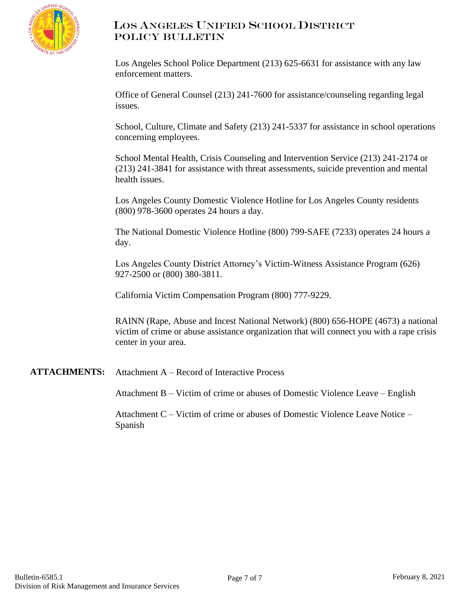

Los Angeles School Police Department (213) 625-6631 for assistance with any law enforcement matters.

Office of General Counsel (213) 241-7600 for assistance/counseling regarding legal issues.

School, Culture, Climate and Safety (213) 241-5337 for assistance in school operations concerning employees.

School Mental Health, Crisis Counseling and Intervention Service (213) 241-2174 or (213) 241-3841 for assistance with threat assessments, suicide prevention and mental health issues.

Los Angeles County Domestic Violence Hotline for Los Angeles County residents (800) 978-3600 operates 24 hours a day.

The National Domestic Violence Hotline (800) 799-SAFE (7233) operates 24 hours a day.

Los Angeles County District Attorney's Victim-Witness Assistance Program (626) 927-2500 or (800) 380-3811.

California Victim Compensation Program (800) 777-9229.

RAINN (Rape, Abuse and Incest National Network) (800) 656-HOPE (4673) a national victim of crime or abuse assistance organization that will connect you with a rape crisis center in your area.

**ATTACHMENTS:** Attachment A – Record of Interactive Process

Attachment B – Victim of crime or abuses of Domestic Violence Leave – English

Attachment C – Victim of crime or abuses of Domestic Violence Leave Notice – Spanish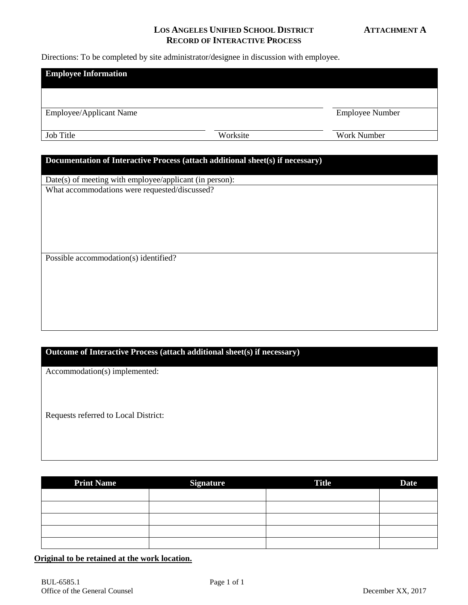#### **LOS ANGELES UNIFIED SCHOOL DISTRICT ATTACHMENT A RECORD OF INTERACTIVE PROCESS**

Directions: To be completed by site administrator/designee in discussion with employee.

| <b>Employee Information</b>                                                                              |          |                        |  |  |  |
|----------------------------------------------------------------------------------------------------------|----------|------------------------|--|--|--|
|                                                                                                          |          |                        |  |  |  |
| Employee/Applicant Name                                                                                  |          | <b>Employee Number</b> |  |  |  |
| Job Title                                                                                                | Worksite | Work Number            |  |  |  |
|                                                                                                          |          |                        |  |  |  |
| Documentation of Interactive Process (attach additional sheet(s) if necessary)                           |          |                        |  |  |  |
|                                                                                                          |          |                        |  |  |  |
| Date(s) of meeting with employee/applicant (in person):<br>What accommodations were requested/discussed? |          |                        |  |  |  |
|                                                                                                          |          |                        |  |  |  |
|                                                                                                          |          |                        |  |  |  |
|                                                                                                          |          |                        |  |  |  |
|                                                                                                          |          |                        |  |  |  |
|                                                                                                          |          |                        |  |  |  |
| Possible accommodation(s) identified?                                                                    |          |                        |  |  |  |
|                                                                                                          |          |                        |  |  |  |
|                                                                                                          |          |                        |  |  |  |
|                                                                                                          |          |                        |  |  |  |
|                                                                                                          |          |                        |  |  |  |
|                                                                                                          |          |                        |  |  |  |
|                                                                                                          |          |                        |  |  |  |

## **Outcome of Interactive Process (attach additional sheet(s) if necessary)**

Accommodation(s) implemented:

Requests referred to Local District:

| <b>Print Name</b> | <b>Signature</b> | <b>Title</b> | <b>Date</b> |
|-------------------|------------------|--------------|-------------|
|                   |                  |              |             |
|                   |                  |              |             |
|                   |                  |              |             |
|                   |                  |              |             |
|                   |                  |              |             |

## **Original to be retained at the work location.**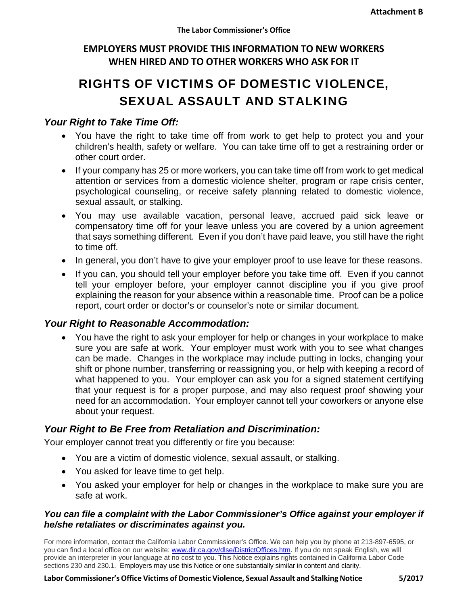# **EMPLOYERS MUST PROVIDE THIS INFORMATION TO NEW WORKERS WHEN HIRED AND TO OTHER WORKERS WHO ASK FOR IT**

# RIGHTS OF VICTIMS OF DOMESTIC VIOLENCE, SEXUAL ASSAULT AND STALKING

## *Your Right to Take Time Off:*

- You have the right to take time off from work to get help to protect you and your children's health, safety or welfare. You can take time off to get a restraining order or other court order.
- If your company has 25 or more workers, you can take time off from work to get medical attention or services from a domestic violence shelter, program or rape crisis center, psychological counseling, or receive safety planning related to domestic violence, sexual assault, or stalking.
- You may use available vacation, personal leave, accrued paid sick leave or compensatory time off for your leave unless you are covered by a union agreement that says something different. Even if you don't have paid leave, you still have the right to time off.
- In general, you don't have to give your employer proof to use leave for these reasons.
- If you can, you should tell your employer before you take time off. Even if you cannot tell your employer before, your employer cannot discipline you if you give proof explaining the reason for your absence within a reasonable time. Proof can be a police report, court order or doctor's or counselor's note or similar document.

### *Your Right to Reasonable Accommodation:*

 You have the right to ask your employer for help or changes in your workplace to make sure you are safe at work. Your employer must work with you to see what changes can be made. Changes in the workplace may include putting in locks, changing your shift or phone number, transferring or reassigning you, or help with keeping a record of what happened to you. Your employer can ask you for a signed statement certifying that your request is for a proper purpose, and may also request proof showing your need for an accommodation. Your employer cannot tell your coworkers or anyone else about your request.

# *Your Right to Be Free from Retaliation and Discrimination:*

Your employer cannot treat you differently or fire you because:

- You are a victim of domestic violence, sexual assault, or stalking.
- You asked for leave time to get help.
- You asked your employer for help or changes in the workplace to make sure you are safe at work.

#### *You can file a complaint with the Labor Commissioner's Office against your employer if he/she retaliates or discriminates against you.*

For more information, contact the California Labor Commissioner's Office. We can help you by phone at 213-897-6595, or you can find a local office on our website: www.dir.ca.gov/dlse/DistrictOffices.htm. If you do not speak English, we will provide an interpreter in your language at no cost to you. This Notice explains rights contained in California Labor Code sections 230 and 230.1. Employers may use this Notice or one substantially similar in content and clarity.

#### **Labor Commissioner'sOffice Victims of Domestic Violence, Sexual Assault and StalkingNotice 5/2017**